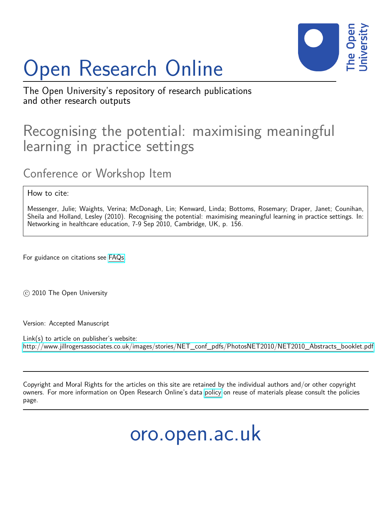# Open Research Online



The Open University's repository of research publications and other research outputs

## Recognising the potential: maximising meaningful learning in practice settings

### Conference or Workshop Item

#### How to cite:

Messenger, Julie; Waights, Verina; McDonagh, Lin; Kenward, Linda; Bottoms, Rosemary; Draper, Janet; Counihan, Sheila and Holland, Lesley (2010). Recognising the potential: maximising meaningful learning in practice settings. In: Networking in healthcare education, 7-9 Sep 2010, Cambridge, UK, p. 156.

For guidance on citations see [FAQs.](http://oro.open.ac.uk/help/helpfaq.html)

c 2010 The Open University

Version: Accepted Manuscript

Link(s) to article on publisher's website: [http://www.jillrogersassociates.co.uk/images/stories/NET\\_conf\\_pdfs/PhotosNET2010/NET2010\\_Abstracts\\_booklet.pdf](http://www.jillrogersassociates.co.uk/images/stories/NET_conf_pdfs/PhotosNET2010/NET2010_Abstracts_booklet.pdf)

Copyright and Moral Rights for the articles on this site are retained by the individual authors and/or other copyright owners. For more information on Open Research Online's data [policy](http://oro.open.ac.uk/policies.html) on reuse of materials please consult the policies page.

oro.open.ac.uk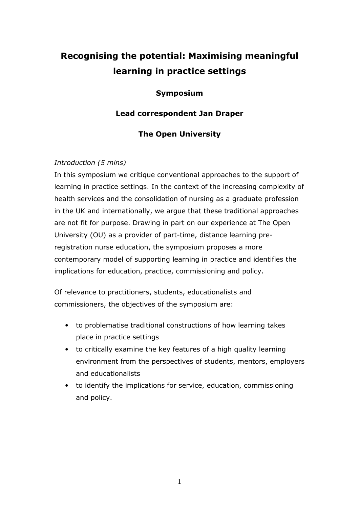## Recognising the potential: Maximising meaningful learning in practice settings

#### Symposium

#### Lead correspondent Jan Draper

#### The Open University

#### Introduction (5 mins)

In this symposium we critique conventional approaches to the support of learning in practice settings. In the context of the increasing complexity of health services and the consolidation of nursing as a graduate profession in the UK and internationally, we argue that these traditional approaches are not fit for purpose. Drawing in part on our experience at The Open University (OU) as a provider of part-time, distance learning preregistration nurse education, the symposium proposes a more contemporary model of supporting learning in practice and identifies the implications for education, practice, commissioning and policy.

Of relevance to practitioners, students, educationalists and commissioners, the objectives of the symposium are:

- to problematise traditional constructions of how learning takes place in practice settings
- to critically examine the key features of a high quality learning environment from the perspectives of students, mentors, employers and educationalists
- to identify the implications for service, education, commissioning and policy.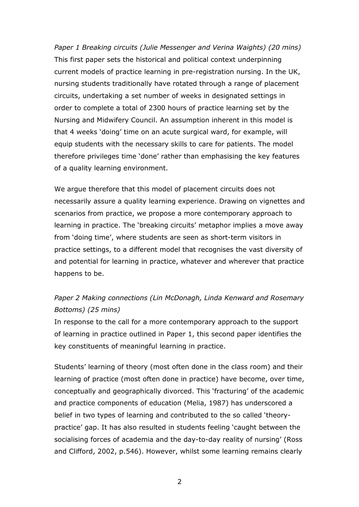Paper 1 Breaking circuits (Julie Messenger and Verina Waights) (20 mins) This first paper sets the historical and political context underpinning current models of practice learning in pre-registration nursing. In the UK, nursing students traditionally have rotated through a range of placement circuits, undertaking a set number of weeks in designated settings in order to complete a total of 2300 hours of practice learning set by the Nursing and Midwifery Council. An assumption inherent in this model is that 4 weeks 'doing' time on an acute surgical ward, for example, will equip students with the necessary skills to care for patients. The model therefore privileges time 'done' rather than emphasising the key features of a quality learning environment.

We argue therefore that this model of placement circuits does not necessarily assure a quality learning experience. Drawing on vignettes and scenarios from practice, we propose a more contemporary approach to learning in practice. The 'breaking circuits' metaphor implies a move away from 'doing time', where students are seen as short-term visitors in practice settings, to a different model that recognises the vast diversity of and potential for learning in practice, whatever and wherever that practice happens to be.

#### Paper 2 Making connections (Lin McDonagh, Linda Kenward and Rosemary Bottoms) (25 mins)

In response to the call for a more contemporary approach to the support of learning in practice outlined in Paper 1, this second paper identifies the key constituents of meaningful learning in practice.

Students' learning of theory (most often done in the class room) and their learning of practice (most often done in practice) have become, over time, conceptually and geographically divorced. This 'fracturing' of the academic and practice components of education (Melia, 1987) has underscored a belief in two types of learning and contributed to the so called 'theorypractice' gap. It has also resulted in students feeling 'caught between the socialising forces of academia and the day-to-day reality of nursing' (Ross and Clifford, 2002, p.546). However, whilst some learning remains clearly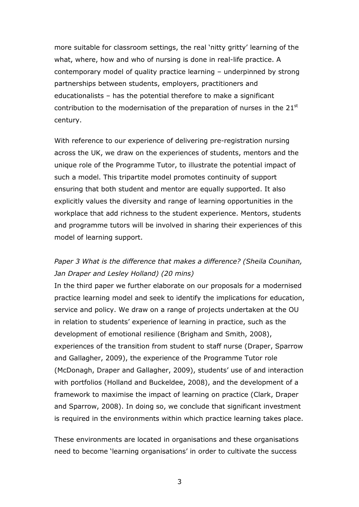more suitable for classroom settings, the real 'nitty gritty' learning of the what, where, how and who of nursing is done in real-life practice. A contemporary model of quality practice learning – underpinned by strong partnerships between students, employers, practitioners and educationalists – has the potential therefore to make a significant contribution to the modernisation of the preparation of nurses in the  $21<sup>st</sup>$ century.

With reference to our experience of delivering pre-registration nursing across the UK, we draw on the experiences of students, mentors and the unique role of the Programme Tutor, to illustrate the potential impact of such a model. This tripartite model promotes continuity of support ensuring that both student and mentor are equally supported. It also explicitly values the diversity and range of learning opportunities in the workplace that add richness to the student experience. Mentors, students and programme tutors will be involved in sharing their experiences of this model of learning support.

#### Paper 3 What is the difference that makes a difference? (Sheila Counihan, Jan Draper and Lesley Holland) (20 mins)

In the third paper we further elaborate on our proposals for a modernised practice learning model and seek to identify the implications for education, service and policy. We draw on a range of projects undertaken at the OU in relation to students' experience of learning in practice, such as the development of emotional resilience (Brigham and Smith, 2008), experiences of the transition from student to staff nurse (Draper, Sparrow and Gallagher, 2009), the experience of the Programme Tutor role (McDonagh, Draper and Gallagher, 2009), students' use of and interaction with portfolios (Holland and Buckeldee, 2008), and the development of a framework to maximise the impact of learning on practice (Clark, Draper and Sparrow, 2008). In doing so, we conclude that significant investment is required in the environments within which practice learning takes place.

These environments are located in organisations and these organisations need to become 'learning organisations' in order to cultivate the success

3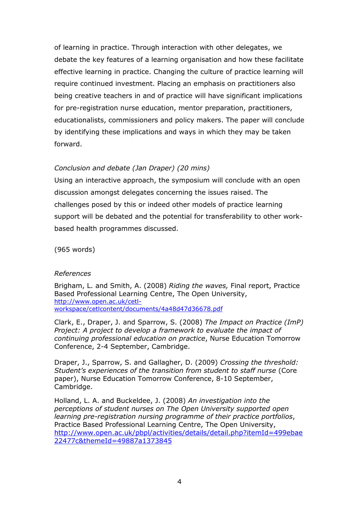of learning in practice. Through interaction with other delegates, we debate the key features of a learning organisation and how these facilitate effective learning in practice. Changing the culture of practice learning will require continued investment. Placing an emphasis on practitioners also being creative teachers in and of practice will have significant implications for pre-registration nurse education, mentor preparation, practitioners, educationalists, commissioners and policy makers. The paper will conclude by identifying these implications and ways in which they may be taken forward.

#### Conclusion and debate (Jan Draper) (20 mins)

Using an interactive approach, the symposium will conclude with an open discussion amongst delegates concerning the issues raised. The challenges posed by this or indeed other models of practice learning support will be debated and the potential for transferability to other workbased health programmes discussed.

(965 words)

#### References

Brigham, L. and Smith, A. (2008) Riding the waves, Final report, Practice Based Professional Learning Centre, The Open University, http://www.open.ac.uk/cetlworkspace/cetlcontent/documents/4a48d47d36678.pdf

Clark, E., Draper, J. and Sparrow, S. (2008) The Impact on Practice (ImP) Project: A project to develop a framework to evaluate the impact of continuing professional education on practice, Nurse Education Tomorrow Conference, 2-4 September, Cambridge.

Draper, J., Sparrow, S. and Gallagher, D. (2009) Crossing the threshold: Student's experiences of the transition from student to staff nurse (Core paper), Nurse Education Tomorrow Conference, 8-10 September, Cambridge.

Holland, L. A. and Buckeldee, J. (2008) An investigation into the perceptions of student nurses on The Open University supported open learning pre-registration nursing programme of their practice portfolios, Practice Based Professional Learning Centre, The Open University, http://www.open.ac.uk/pbpl/activities/details/detail.php?itemId=499ebae 22477c&themeId=49887a1373845